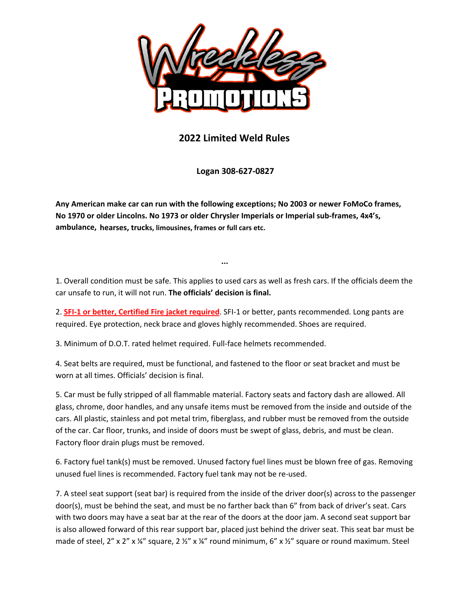

## **2022 Limited Weld Rules**

 **Logan 308-627-0827** 

**Any American make car can run with the following exceptions; No 2003 or newer FoMoCo frames, No 1970 or older Lincolns. No 1973 or older Chrysler Imperials or Imperial sub-frames, 4x4's, ambulance, hearses, trucks, limousines, frames or full cars etc.**…

...

1. Overall condition must be safe. This applies to used cars as well as fresh cars. If the officials deem the car unsafe to run, it will not run. **The officials' decision is final.**

2. **SFI-1 or better, Certified Fire jacket required**. SFI-1 or better, pants recommended. Long pants are required. Eye protection, neck brace and gloves highly recommended. Shoes are required.

3. Minimum of D.O.T. rated helmet required. Full-face helmets recommended.

4. Seat belts are required, must be functional, and fastened to the floor or seat bracket and must be worn at all times. Officials' decision is final.

5. Car must be fully stripped of all flammable material. Factory seats and factory dash are allowed. All glass, chrome, door handles, and any unsafe items must be removed from the inside and outside of the cars. All plastic, stainless and pot metal trim, fiberglass, and rubber must be removed from the outside of the car. Car floor, trunks, and inside of doors must be swept of glass, debris, and must be clean. Factory floor drain plugs must be removed.

6. Factory fuel tank(s) must be removed. Unused factory fuel lines must be blown free of gas. Removing unused fuel lines is recommended. Factory fuel tank may not be re-used.

7. A steel seat support (seat bar) is required from the inside of the driver door(s) across to the passenger door(s), must be behind the seat, and must be no farther back than 6" from back of driver's seat. Cars with two doors may have a seat bar at the rear of the doors at the door jam. A second seat support bar is also allowed forward of this rear support bar, placed just behind the driver seat. This seat bar must be made of steel, 2" x 2" x  $\frac{1}{4}$ " square, 2  $\frac{1}{2}$ " x  $\frac{1}{4}$ " round minimum, 6" x  $\frac{1}{2}$ " square or round maximum. Steel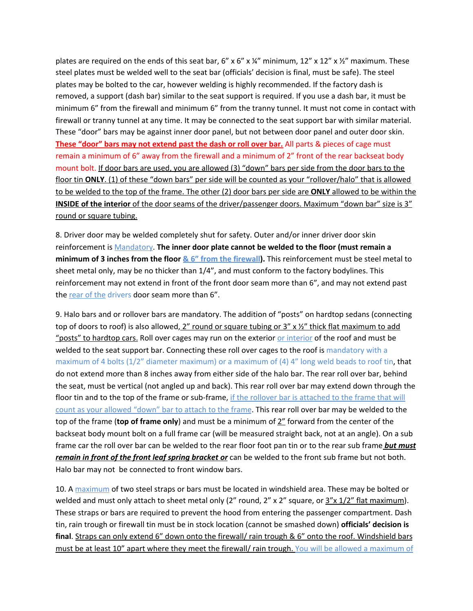plates are required on the ends of this seat bar, 6" x 6" x  $\frac{1}{4}$ " minimum, 12" x 12" x  $\frac{1}{2}$ " maximum. These steel plates must be welded well to the seat bar (officials' decision is final, must be safe). The steel plates may be bolted to the car, however welding is highly recommended. If the factory dash is removed, a support (dash bar) similar to the seat support is required. If you use a dash bar, it must be minimum 6" from the firewall and minimum 6" from the tranny tunnel. It must not come in contact with firewall or tranny tunnel at any time. It may be connected to the seat support bar with similar material. These "door" bars may be against inner door panel, but not between door panel and outer door skin. **These "door" bars may not extend past the dash or roll over bar.** All parts & pieces of cage must remain a minimum of 6" away from the firewall and a minimum of 2" front of the rear backseat body mount bolt. If door bars are used, you are allowed (3) "down" bars per side from the door bars to the floor tin **ONLY**. (1) of these "down bars" per side will be counted as your "rollover/halo" that is allowed to be welded to the top of the frame. The other (2) door bars per side are **ONLY** allowed to be within the **INSIDE of the interior** of the door seams of the driver/passenger doors. Maximum "down bar" size is 3" round or square tubing.

8. Driver door may be welded completely shut for safety. Outer and/or inner driver door skin reinforcement is Mandatory. **The inner door plate cannot be welded to the floor (must remain a minimum of 3 inches from the floor & 6" from the firewall).** This reinforcement must be steel metal to sheet metal only, may be no thicker than 1/4", and must conform to the factory bodylines. This reinforcement may not extend in front of the front door seam more than 6", and may not extend past the rear of the drivers door seam more than 6".

9. Halo bars and or rollover bars are mandatory. The addition of "posts" on hardtop sedans (connecting top of doors to roof) is also allowed,  $2''$  round or square tubing or  $3''$  x  $\frac{1}{2}''$  thick flat maximum to add "posts" to hardtop cars. Roll over cages may run on the exterior or interior of the roof and must be welded to the seat support bar. Connecting these roll over cages to the roof is mandatory with a maximum of 4 bolts (1/2" diameter maximum) or a maximum of (4) 4" long weld beads to roof tin, that do not extend more than 8 inches away from either side of the halo bar. The rear roll over bar, behind the seat, must be vertical (not angled up and back). This rear roll over bar may extend down through the floor tin and to the top of the frame or sub-frame, if the rollover bar is attached to the frame that will count as your allowed "down" bar to attach to the frame. This rear roll over bar may be welded to the top of the frame (**top of frame only**) and must be a minimum of 2" forward from the center of the backseat body mount bolt on a full frame car (will be measured straight back, not at an angle). On a sub frame car the roll over bar can be welded to the rear floor foot pan tin or to the rear sub frame *but must remain in front of the front leaf spring bracket or* can be welded to the front sub frame but not both. Halo bar may not be connected to front window bars.

10. A maximum of two steel straps or bars must be located in windshield area. These may be bolted or welded and must only attach to sheet metal only (2" round, 2" x 2" square, or  $3"x 1/2"$  flat maximum). These straps or bars are required to prevent the hood from entering the passenger compartment. Dash tin, rain trough or firewall tin must be in stock location (cannot be smashed down) **officials' decision is final**. Straps can only extend 6" down onto the firewall/ rain trough & 6" onto the roof. Windshield bars must be at least 10" apart where they meet the firewall/ rain trough. You will be allowed a maximum of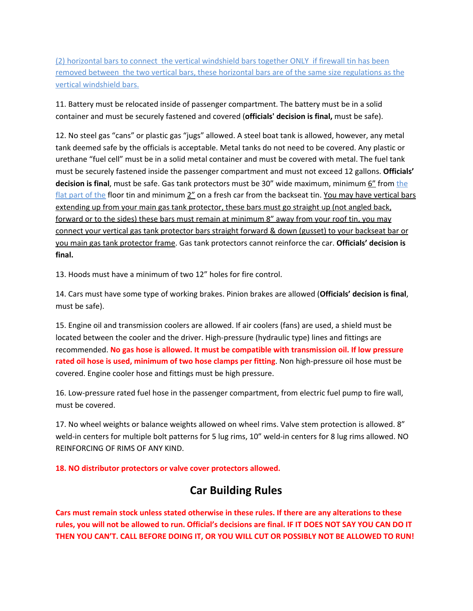(2) horizontal bars to connect the vertical windshield bars together ONLY if firewall tin has been removed between the two vertical bars, these horizontal bars are of the same size regulations as the vertical windshield bars.

11. Battery must be relocated inside of passenger compartment. The battery must be in a solid container and must be securely fastened and covered (**officials' decision is final,** must be safe).

12. No steel gas "cans" or plastic gas "jugs" allowed. A steel boat tank is allowed, however, any metal tank deemed safe by the officials is acceptable. Metal tanks do not need to be covered. Any plastic or urethane "fuel cell" must be in a solid metal container and must be covered with metal. The fuel tank must be securely fastened inside the passenger compartment and must not exceed 12 gallons. **Officials' decision is final**, must be safe. Gas tank protectors must be 30" wide maximum, minimum 6" from the flat part of the floor tin and minimum 2" on a fresh car from the backseat tin. You may have vertical bars extending up from your main gas tank protector, these bars must go straight up (not angled back, forward or to the sides) these bars must remain at minimum 8" away from your roof tin, you may connect your vertical gas tank protector bars straight forward & down (gusset) to your backseat bar or you main gas tank protector frame. Gas tank protectors cannot reinforce the car. **Officials' decision is final.**

13. Hoods must have a minimum of two 12" holes for fire control.

14. Cars must have some type of working brakes. Pinion brakes are allowed (**Officials' decision is final**, must be safe).

15. Engine oil and transmission coolers are allowed. If air coolers (fans) are used, a shield must be located between the cooler and the driver. High-pressure (hydraulic type) lines and fittings are recommended. **No gas hose is allowed. It must be compatible with transmission oil. If low pressure rated oil hose is used, minimum of two hose clamps per fitting**. Non high-pressure oil hose must be covered. Engine cooler hose and fittings must be high pressure.

16. Low-pressure rated fuel hose in the passenger compartment, from electric fuel pump to fire wall, must be covered.

17. No wheel weights or balance weights allowed on wheel rims. Valve stem protection is allowed. 8" weld-in centers for multiple bolt patterns for 5 lug rims, 10" weld-in centers for 8 lug rims allowed. NO REINFORCING OF RIMS OF ANY KIND.

**18. NO distributor protectors or valve cover protectors allowed.**

# **Car Building Rules**

**Cars must remain stock unless stated otherwise in these rules. If there are any alterations to these rules, you will not be allowed to run. Official's decisions are final. IF IT DOES NOT SAY YOU CAN DO IT THEN YOU CAN'T. CALL BEFORE DOING IT, OR YOU WILL CUT OR POSSIBLY NOT BE ALLOWED TO RUN!**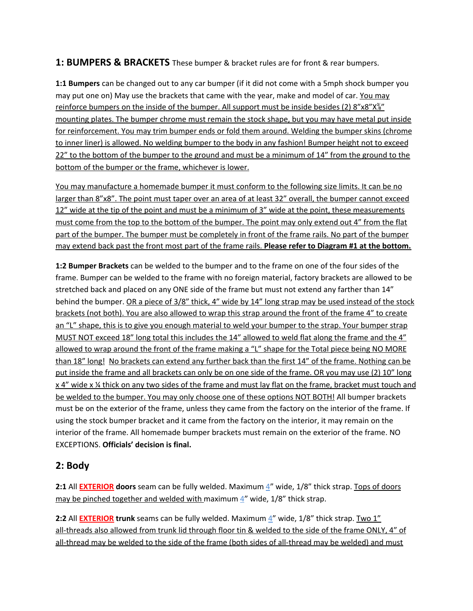#### **1: BUMPERS & BRACKETS** These bumper & bracket rules are for front & rear bumpers.

**1:1 Bumpers** can be changed out to any car bumper (if it did not come with a 5mph shock bumper you may put one on) May use the brackets that came with the year, make and model of car. You may reinforce bumpers on the inside of the bumper. All support must be inside besides (2)  $8"x8"X\frac{2}{9}"$ mounting plates. The bumper chrome must remain the stock shape, but you may have metal put inside for reinforcement. You may trim bumper ends or fold them around. Welding the bumper skins (chrome to inner liner) is allowed. No welding bumper to the body in any fashion! Bumper height not to exceed 22" to the bottom of the bumper to the ground and must be a minimum of 14" from the ground to the bottom of the bumper or the frame, whichever is lower.

You may manufacture a homemade bumper it must conform to the following size limits. It can be no larger than 8"x8". The point must taper over an area of at least 32" overall, the bumper cannot exceed 12" wide at the tip of the point and must be a minimum of 3" wide at the point, these measurements must come from the top to the bottom of the bumper. The point may only extend out 4" from the flat part of the bumper. The bumper must be completely in front of the frame rails. No part of the bumper may extend back past the front most part of the frame rails. **Please refer to Diagram #1 at the bottom.**

**1:2 Bumper Brackets** can be welded to the bumper and to the frame on one of the four sides of the frame. Bumper can be welded to the frame with no foreign material, factory brackets are allowed to be stretched back and placed on any ONE side of the frame but must not extend any farther than 14" behind the bumper. OR a piece of 3/8" thick, 4" wide by 14" long strap may be used instead of the stock brackets (not both). You are also allowed to wrap this strap around the front of the frame 4" to create an "L" shape, this is to give you enough material to weld your bumper to the strap. Your bumper strap MUST NOT exceed 18" long total this includes the 14" allowed to weld flat along the frame and the 4" allowed to wrap around the front of the frame making a "L" shape for the Total piece being NO MORE than 18" long! No brackets can extend any further back than the first 14" of the frame. Nothing can be put inside the frame and all brackets can only be on one side of the frame. OR you may use (2) 10" long x 4" wide x ¼ thick on any two sides of the frame and must lay flat on the frame, bracket must touch and be welded to the bumper. You may only choose one of these options NOT BOTH! All bumper brackets must be on the exterior of the frame, unless they came from the factory on the interior of the frame. If using the stock bumper bracket and it came from the factory on the interior, it may remain on the interior of the frame. All homemade bumper brackets must remain on the exterior of the frame. NO EXCEPTIONS. **Officials' decision is final.**

#### **2: Body**

**2:1** All **EXTERIOR** doors seam can be fully welded. Maximum  $\frac{4}{3}$  wide, 1/8" thick strap. Tops of doors may be pinched together and welded with maximum 4" wide, 1/8" thick strap.

**2:2** All **EXTERIOR trunk** seams can be fully welded. Maximum 4" wide, 1/8" thick strap. Two 1" all-threads also allowed from trunk lid through floor tin & welded to the side of the frame ONLY, 4" of all-thread may be welded to the side of the frame (both sides of all-thread may be welded) and must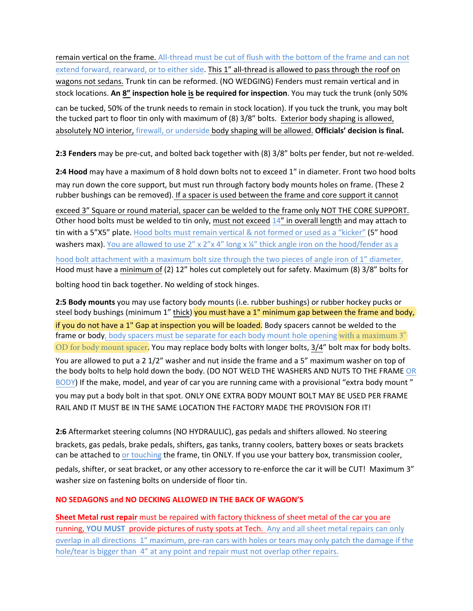remain vertical on the frame. All-thread must be cut of flush with the bottom of the frame and can not extend forward, rearward, or to either side. This 1" all-thread is allowed to pass through the roof on wagons not sedans. Trunk tin can be reformed. (NO WEDGING) Fenders must remain vertical and in stock locations. **An 8" inspection hole is be required for inspection**. You may tuck the trunk (only 50%

can be tucked, 50% of the trunk needs to remain in stock location). If you tuck the trunk, you may bolt the tucked part to floor tin only with maximum of (8) 3/8" bolts. Exterior body shaping is allowed, absolutely NO interior, firewall, or underside body shaping will be allowed. **Officials' decision is final.**

**2:3 Fenders** may be pre-cut, and bolted back together with (8) 3/8" bolts per fender, but not re-welded.

**2:4 Hood** may have a maximum of 8 hold down bolts not to exceed 1" in diameter. Front two hood bolts

may run down the core support, but must run through factory body mounts holes on frame. (These 2 rubber bushings can be removed). If a spacer is used between the frame and core support it cannot

exceed 3" Square or round material, spacer can be welded to the frame only NOT THE CORE SUPPORT. Other hood bolts must be welded to tin only, must not exceed 14" in overall length and may attach to tin with a 5"X5" plate. Hood bolts must remain vertical & not formed or used as a "kicker" (5" hood washers max). You are allowed to use  $2'' \times 2'' \times 4''$  long  $\times \frac{1}{4}$  thick angle iron on the hood/fender as a hood bolt attachment with a maximum bolt size through the two pieces of angle iron of 1" diameter. Hood must have a minimum of (2) 12" holes cut completely out for safety. Maximum (8) 3/8" bolts for

bolting hood tin back together. No welding of stock hinges.

**2:5 Body mounts** you may use factory body mounts (i.e. rubber bushings) or rubber hockey pucks or steel body bushings (minimum 1" thick) you must have a 1" minimum gap between the frame and body, if you do not have a 1" Gap at inspection you will be loaded. Body spacers cannot be welded to the frame or body, body spacers must be separate for each body mount hole opening with a maximum 3" OD for body mount spacer. You may replace body bolts with longer bolts, 3/4" bolt max for body bolts. You are allowed to put a 2 1/2" washer and nut inside the frame and a 5" maximum washer on top of the body bolts to help hold down the body. (DO NOT WELD THE WASHERS AND NUTS TO THE FRAME OR BODY) If the make, model, and year of car you are running came with a provisional "extra body mount " you may put a body bolt in that spot. ONLY ONE EXTRA BODY MOUNT BOLT MAY BE USED PER FRAME RAIL AND IT MUST BE IN THE SAME LOCATION THE FACTORY MADE THE PROVISION FOR IT!

**2:6** Aftermarket steering columns (NO HYDRAULIC), gas pedals and shifters allowed. No steering brackets, gas pedals, brake pedals, shifters, gas tanks, tranny coolers, battery boxes or seats brackets can be attached to or touching the frame, tin ONLY. If you use your battery box, transmission cooler,

pedals, shifter, or seat bracket, or any other accessory to re-enforce the car it will be CUT! Maximum 3" washer size on fastening bolts on underside of floor tin.

#### **NO SEDAGONS and NO DECKING ALLOWED IN THE BACK OF WAGON'S**

**Sheet Metal rust repair** must be repaired with factory thickness of sheet metal of the car you are running, **YOU MUST** provide pictures of rusty spots at Tech. Any and all sheet metal repairs can only overlap in all directions 1" maximum, pre-ran cars with holes or tears may only patch the damage if the hole/tear is bigger than 4" at any point and repair must not overlap other repairs.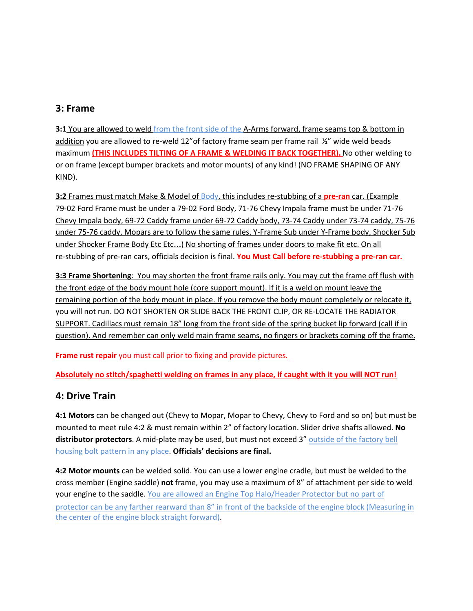#### **3: Frame**

**3:1** You are allowed to weld from the front side of the A-Arms forward, frame seams top & bottom in addition you are allowed to re-weld 12" of factory frame seam per frame rail  $\frac{1}{2}$ " wide weld beads maximum **(THIS INCLUDES TILTING OF A FRAME & WELDING IT BACK TOGETHER).** No other welding to or on frame (except bumper brackets and motor mounts) of any kind! (NO FRAME SHAPING OF ANY KIND).

**3:2** Frames must match Make & Model of Body, this includes re-stubbing of a **pre-ran** car. (Example 79-02 Ford Frame must be under a 79-02 Ford Body, 71-76 Chevy Impala frame must be under 71-76 Chevy Impala body, 69-72 Caddy frame under 69-72 Caddy body, 73-74 Caddy under 73-74 caddy, 75-76 under 75-76 caddy, Mopars are to follow the same rules. Y-Frame Sub under Y-Frame body, Shocker Sub under Shocker Frame Body Etc Etc…) No shorting of frames under doors to make fit etc. On all re-stubbing of pre-ran cars, officials decision is final. **You Must Call before re-stubbing a pre-ran car.**

**3:3 Frame Shortening**: You may shorten the front frame rails only. You may cut the frame off flush with the front edge of the body mount hole (core support mount). If it is a weld on mount leave the remaining portion of the body mount in place. If you remove the body mount completely or relocate it, you will not run. DO NOT SHORTEN OR SLIDE BACK THE FRONT CLIP, OR RE-LOCATE THE RADIATOR SUPPORT. Cadillacs must remain 18" long from the front side of the spring bucket lip forward (call if in question). And remember can only weld main frame seams, no fingers or brackets coming off the frame.

**Frame rust repair** you must call prior to fixing and provide pictures.

**Absolutely no stitch/spaghetti welding on frames in any place, if caught with it you will NOT run!**

### **4: Drive Train**

**4:1 Motors** can be changed out (Chevy to Mopar, Mopar to Chevy, Chevy to Ford and so on) but must be mounted to meet rule 4:2 & must remain within 2" of factory location. Slider drive shafts allowed. **No distributor protectors**. A mid-plate may be used, but must not exceed 3" outside of the factory bell housing bolt pattern in any place. **Officials' decisions are final.**

**4:2 Motor mounts** can be welded solid. You can use a lower engine cradle, but must be welded to the cross member (Engine saddle) **not** frame, you may use a maximum of 8" of attachment per side to weld your engine to the saddle. You are allowed an Engine Top Halo/Header Protector but no part of protector can be any farther rearward than 8" in front of the backside of the engine block (Measuring in the center of the engine block straight forward).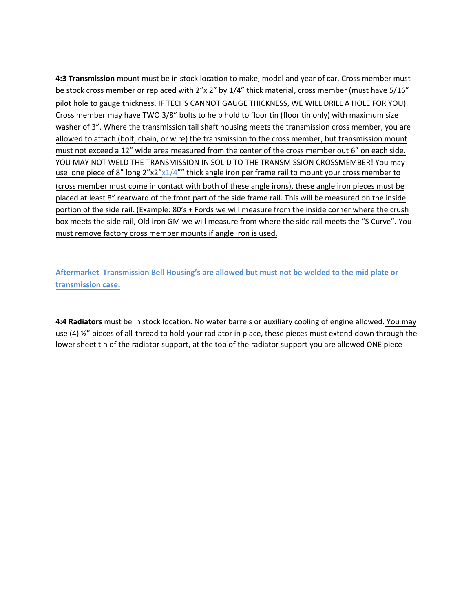**4:3 Transmission** mount must be in stock location to make, model and year of car. Cross member must be stock cross member or replaced with 2"x 2" by 1/4" thick material, cross member (must have 5/16" pilot hole to gauge thickness, IF TECHS CANNOT GAUGE THICKNESS, WE WILL DRILL A HOLE FOR YOU). Cross member may have TWO 3/8" bolts to help hold to floor tin (floor tin only) with maximum size washer of 3". Where the transmission tail shaft housing meets the transmission cross member, you are allowed to attach (bolt, chain, or wire) the transmission to the cross member, but transmission mount must not exceed a 12" wide area measured from the center of the cross member out 6" on each side. YOU MAY NOT WELD THE TRANSMISSION IN SOLID TO THE TRANSMISSION CROSSMEMBER! You may use one piece of 8" long  $2''x2''x1/4''''$  thick angle iron per frame rail to mount your cross member to (cross member must come in contact with both of these angle irons), these angle iron pieces must be placed at least 8" rearward of the front part of the side frame rail. This will be measured on the inside portion of the side rail. (Example: 80's + Fords we will measure from the inside corner where the crush box meets the side rail, Old iron GM we will measure from where the side rail meets the "S Curve". You must remove factory cross member mounts if angle iron is used.

**Aftermarket Transmission Bell Housing's are allowed but must not be welded to the mid plate or transmission case.**

**4:4 Radiators** must be in stock location. No water barrels or auxiliary cooling of engine allowed. You may use (4)  $\frac{1}{2}$ " pieces of all-thread to hold your radiator in place, these pieces must extend down through the lower sheet tin of the radiator support, at the top of the radiator support you are allowed ONE piece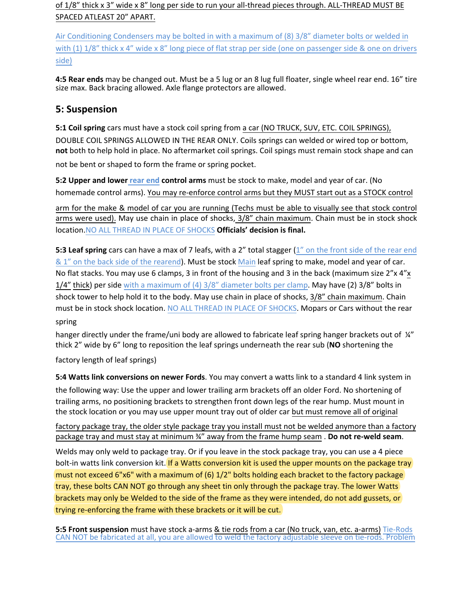of 1/8" thick x 3" wide x 8" long per side to run your all-thread pieces through. ALL-THREAD MUST BE SPACED ATLEAST 20" APART.

Air Conditioning Condensers may be bolted in with a maximum of (8) 3/8" diameter bolts or welded in with (1)  $1/8$ " thick x 4" wide x 8" long piece of flat strap per side (one on passenger side & one on drivers side)

**4:5 Rear ends** may be changed out. Must be a 5 lug or an 8 lug full floater, single wheel rear end. 16" tire size max. Back bracing allowed. Axle flange protectors are allowed.

#### **5: Suspension**

**5:1 Coil spring** cars must have a stock coil spring from a car (NO TRUCK, SUV, ETC. COIL SPRINGS), DOUBLE COIL SPRINGS ALLOWED IN THE REAR ONLY. Coils springs can welded or wired top or bottom, **not** both to help hold in place. No aftermarket coil springs. Coil spings must remain stock shape and can not be bent or shaped to form the frame or spring pocket.

**5:2 Upper and lower rear end control arms** must be stock to make, model and year of car. (No homemade control arms). You may re-enforce control arms but they MUST start out as a STOCK control

arm for the make & model of car you are running (Techs must be able to visually see that stock control arms were used). May use chain in place of shocks, 3/8" chain maximum. Chain must be in stock shock location.NO ALL THREAD IN PLACE OF SHOCKS **Officials' decision is final.**

**5:3 Leaf spring** cars can have a max of 7 leafs, with a 2" total stagger (1" on the front side of the rear end & 1" on the back side of the rearend). Must be stock Main leaf spring to make, model and year of car. No flat stacks. You may use 6 clamps, 3 in front of the housing and 3 in the back (maximum size 2"x 4"x 1/4" thick) per side with a maximum of (4) 3/8" diameter bolts per clamp. May have (2) 3/8" bolts in shock tower to help hold it to the body. May use chain in place of shocks, 3/8" chain maximum. Chain must be in stock shock location. NO ALL THREAD IN PLACE OF SHOCKS. Mopars or Cars without the rear spring

hanger directly under the frame/uni body are allowed to fabricate leaf spring hanger brackets out of ¼" thick 2" wide by 6" long to reposition the leaf springs underneath the rear sub (**NO** shortening the

factory length of leaf springs)

**5:4 Watts link conversions on newer Fords**. You may convert a watts link to a standard 4 link system in

the following way: Use the upper and lower trailing arm brackets off an older Ford. No shortening of trailing arms, no positioning brackets to strengthen front down legs of the rear hump. Must mount in the stock location or you may use upper mount tray out of older car but must remove all of original

factory package tray, the older style package tray you install must not be welded anymore than a factory package tray and must stay at minimum ¾" away from the frame hump seam . **Do not re-weld seam**.

Welds may only weld to package tray. Or if you leave in the stock package tray, you can use a 4 piece bolt-in watts link conversion kit. If a Watts conversion kit is used the upper mounts on the package tray must not exceed 6"x6" with a maximum of (6) 1/2" bolts holding each bracket to the factory package tray, these bolts CAN NOT go through any sheet tin only through the package tray. The lower Watts brackets may only be Welded to the side of the frame as they were intended, do not add gussets, or trying re-enforcing the frame with these brackets or it will be cut.

**5:5 Front suspension** must have stock a-arms & tie rods from a car (No truck, van, etc. a-arms) Tie-Rods CAN NOT be fabricated at all, you are allowed to weld the factory adjustable sleeve on tie-rods. Problem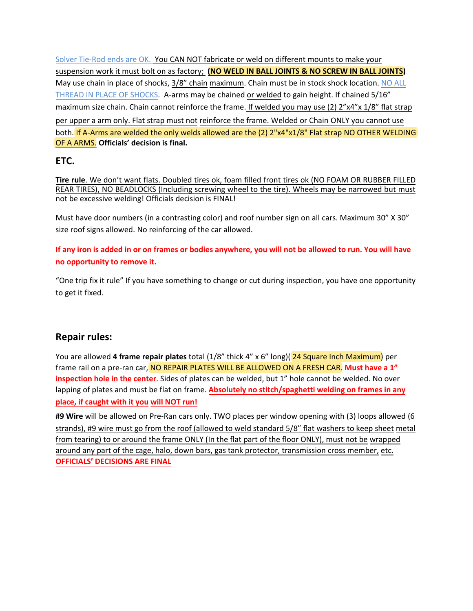Solver Tie-Rod ends are OK. You CAN NOT fabricate or weld on different mounts to make your suspension work it must bolt on as factory; **(NO WELD IN BALL JOINTS & NO SCREW IN BALL JOINTS).** May use chain in place of shocks, 3/8" chain maximum. Chain must be in stock shock location. NO ALL THREAD IN PLACE OF SHOCKS. A-arms may be chained or welded to gain height. If chained 5/16" maximum size chain. Chain cannot reinforce the frame. If welded you may use (2) 2"x4"x 1/8" flat strap per upper a arm only. Flat strap must not reinforce the frame. Welded or Chain ONLY you cannot use both. If A-Arms are welded the only welds allowed are the (2) 2"x4"x1/8" Flat strap NO OTHER WELDING OF A ARMS. **Officials' decision is final.**

#### **ETC.**

**Tire rule**. We don't want flats. Doubled tires ok, foam filled front tires ok (NO FOAM OR RUBBER FILLED REAR TIRES), NO BEADLOCKS (Including screwing wheel to the tire). Wheels may be narrowed but must not be excessive welding! Officials decision is FINAL!

Must have door numbers (in a contrasting color) and roof number sign on all cars. Maximum 30" X 30" size roof signs allowed. No reinforcing of the car allowed.

**If any iron is added in or on frames or bodies anywhere, you will not be allowed to run. You will have no opportunity to remove it.** 

"One trip fix it rule" If you have something to change or cut during inspection, you have one opportunity to get it fixed.

#### **Repair rules:**

You are allowed **4 frame repair plates** total (1/8" thick 4" x 6" long)( 24 Square Inch Maximum) per frame rail on a pre-ran car, NO REPAIR PLATES WILL BE ALLOWED ON A FRESH CAR. **Must have a 1" inspection hole in the center**. Sides of plates can be welded, but 1" hole cannot be welded. No over lapping of plates and must be flat on frame. **Absolutely no stitch/spaghetti welding on frames in any place, if caught with it you will NOT run!** 

**#9 Wire** will be allowed on Pre-Ran cars only. TWO places per window opening with (3) loops allowed (6 strands), #9 wire must go from the roof (allowed to weld standard 5/8" flat washers to keep sheet metal from tearing) to or around the frame ONLY (In the flat part of the floor ONLY), must not be wrapped around any part of the cage, halo, down bars, gas tank protector, transmission cross member, etc. **OFFICIALS' DECISIONS ARE FINAL**